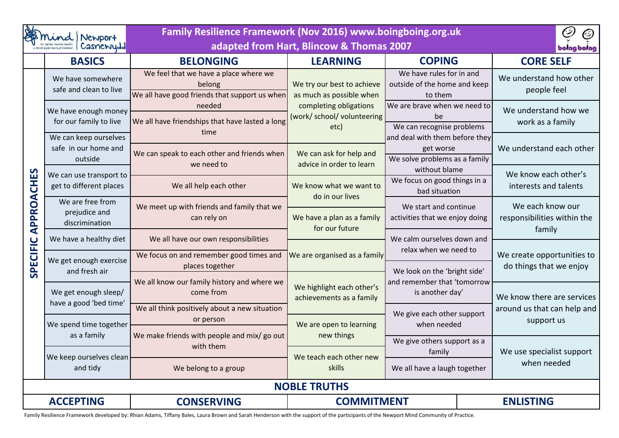| Newport<br>Casnewydd                            |                                                          | Family Resilience Framework (Nov 2016) www.boingboing.org.uk<br>adapted from Hart, Blincow & Thomas 2007                                                   |                                                               |                                                                                               |  | D<br>O)<br>bolng bolng                                               |  |
|-------------------------------------------------|----------------------------------------------------------|------------------------------------------------------------------------------------------------------------------------------------------------------------|---------------------------------------------------------------|-----------------------------------------------------------------------------------------------|--|----------------------------------------------------------------------|--|
| <b>BASICS</b>                                   |                                                          | <b>BELONGING</b>                                                                                                                                           | <b>LEARNING</b>                                               | <b>COPING</b>                                                                                 |  | <b>CORE SELF</b>                                                     |  |
| <b>CHES</b><br><b>APPROA</b><br><b>SPECIFIC</b> | We have somewhere<br>safe and clean to live              | We feel that we have a place where we<br>We try our best to achieve<br>belong<br>We all have good friends that support us when<br>as much as possible when |                                                               | We have rules for in and<br>outside of the home and keep<br>to them                           |  | We understand how other<br>people feel                               |  |
|                                                 | We have enough money<br>for our family to live           | needed<br>We all have friendships that have lasted a long                                                                                                  | completing obligations<br>(work/ school/ volunteering<br>etc) | We are brave when we need to<br>be<br>We can recognise problems                               |  | We understand how we<br>work as a family<br>We understand each other |  |
|                                                 | We can keep ourselves<br>safe in our home and<br>outside | time<br>We can speak to each other and friends when<br>we need to                                                                                          | We can ask for help and<br>advice in order to learn           | and deal with them before they<br>get worse<br>We solve problems as a family<br>without blame |  |                                                                      |  |
|                                                 | We can use transport to<br>get to different places       | We all help each other                                                                                                                                     | We know what we want to<br>do in our lives                    | We focus on good things in a<br>bad situation                                                 |  | We know each other's<br>interests and talents                        |  |
|                                                 | We are free from<br>prejudice and<br>discrimination      | We meet up with friends and family that we<br>can rely on                                                                                                  | We have a plan as a family<br>for our future                  | We start and continue<br>activities that we enjoy doing<br>We calm ourselves down and         |  | We each know our<br>responsibilities within the                      |  |
|                                                 | We have a healthy diet                                   | We all have our own responsibilities                                                                                                                       |                                                               |                                                                                               |  | family                                                               |  |
|                                                 | We get enough exercise<br>and fresh air                  | We focus on and remember good times and<br>places together                                                                                                 | We are organised as a family                                  | relax when we need to<br>We look on the 'bright side'                                         |  | We create opportunities to<br>do things that we enjoy                |  |
|                                                 | We get enough sleep/                                     | We all know our family history and where we<br>come from                                                                                                   | We highlight each other's<br>achievements as a family         | and remember that 'tomorrow<br>is another day'                                                |  | We know there are services                                           |  |
|                                                 | have a good 'bed time'<br>We spend time together         | We all think positively about a new situation<br>or person                                                                                                 | We are open to learning                                       | We give each other support<br>when needed                                                     |  | around us that can help and<br>support us                            |  |
|                                                 | as a family                                              | We make friends with people and mix/ go out<br>with them                                                                                                   | new things                                                    | We give others support as a<br>family                                                         |  | We use specialist support                                            |  |
|                                                 | We keep ourselves clean<br>and tidy                      | We teach each other new<br>skills<br>We belong to a group                                                                                                  |                                                               | We all have a laugh together                                                                  |  | when needed                                                          |  |
| <b>NOBLE TRUTHS</b>                             |                                                          |                                                                                                                                                            |                                                               |                                                                                               |  |                                                                      |  |
| <b>ACCEPTING</b>                                |                                                          | <b>CONSERVING</b>                                                                                                                                          | <b>COMMITMENT</b>                                             |                                                                                               |  | <b>ENLISTING</b>                                                     |  |

Family Resilience Framework developed by: Rhian Adams, Tiffany Bales, Laura Brown and Sarah Henderson with the support of the participants of the Newport Mind Community of Practice.